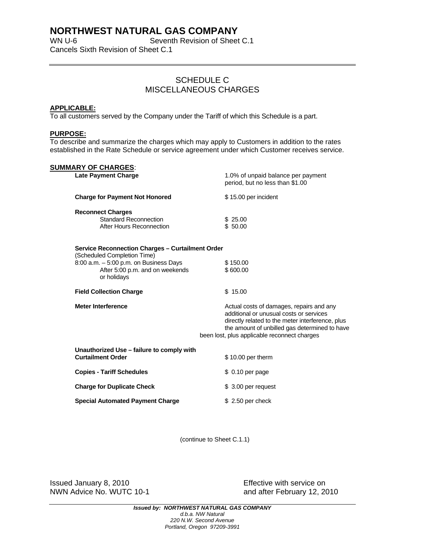# **NORTHWEST NATURAL GAS COMPANY**

WN U-6 Seventh Revision of Sheet C.1 Cancels Sixth Revision of Sheet C.1

## SCHEDULE C MISCELLANEOUS CHARGES

#### **APPLICABLE:**

To all customers served by the Company under the Tariff of which this Schedule is a part.

#### **PURPOSE:**

To describe and summarize the charges which may apply to Customers in addition to the rates established in the Rate Schedule or service agreement under which Customer receives service.

### **SUMMARY OF CHARGES**:

| JUIIIIIMINTI UI UITINULU.<br><b>Late Payment Charge</b>                                  | 1.0% of unpaid balance per payment<br>period, but no less than \$1.00                                                                                                                                                                    |
|------------------------------------------------------------------------------------------|------------------------------------------------------------------------------------------------------------------------------------------------------------------------------------------------------------------------------------------|
| <b>Charge for Payment Not Honored</b>                                                    | \$15.00 per incident                                                                                                                                                                                                                     |
| <b>Reconnect Charges</b><br><b>Standard Reconnection</b><br>After Hours Reconnection     | \$25.00<br>\$50.00                                                                                                                                                                                                                       |
| <b>Service Reconnection Charges - Curtailment Order</b><br>(Scheduled Completion Time)   |                                                                                                                                                                                                                                          |
| 8:00 a.m. - 5:00 p.m. on Business Days<br>After 5:00 p.m. and on weekends<br>or holidays | \$150.00<br>\$600.00                                                                                                                                                                                                                     |
| <b>Field Collection Charge</b>                                                           | \$15.00                                                                                                                                                                                                                                  |
| <b>Meter Interference</b>                                                                | Actual costs of damages, repairs and any<br>additional or unusual costs or services<br>directly related to the meter interference, plus<br>the amount of unbilled gas determined to have<br>been lost, plus applicable reconnect charges |
| Unauthorized Use - failure to comply with<br><b>Curtailment Order</b>                    | \$10.00 per therm                                                                                                                                                                                                                        |
| <b>Copies - Tariff Schedules</b>                                                         | $$0.10$ per page                                                                                                                                                                                                                         |
| <b>Charge for Duplicate Check</b>                                                        | \$3.00 per request                                                                                                                                                                                                                       |
| <b>Special Automated Payment Charge</b>                                                  | $$2.50$ per check                                                                                                                                                                                                                        |
|                                                                                          |                                                                                                                                                                                                                                          |

(continue to Sheet C.1.1)

Issued January 8, 2010 Effective with service on NWN Advice No. WUTC 10-1 and after February 12, 2010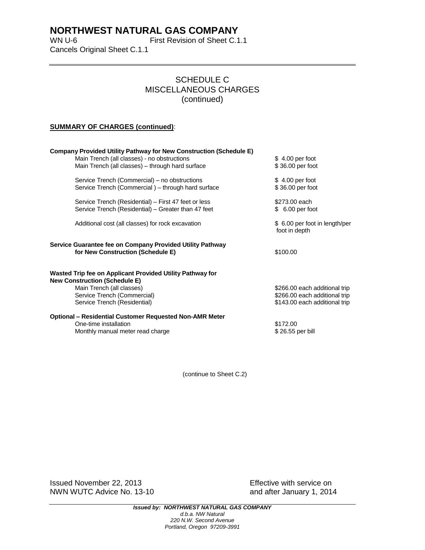## **NORTHWEST NATURAL GAS COMPANY**

WN U-6 First Revision of Sheet C.1.1 Cancels Original Sheet C.1.1

### SCHEDULE C MISCELLANEOUS CHARGES (continued)

#### **SUMMARY OF CHARGES (continued)**:

| <b>Company Provided Utility Pathway for New Construction (Schedule E)</b>                                   |                                                                                                 |  |  |  |
|-------------------------------------------------------------------------------------------------------------|-------------------------------------------------------------------------------------------------|--|--|--|
| Main Trench (all classes) - no obstructions<br>Main Trench (all classes) - through hard surface             | $$4.00$ per foot<br>\$36.00 per foot                                                            |  |  |  |
| Service Trench (Commercial) – no obstructions<br>Service Trench (Commercial) – through hard surface         | $$4.00$ per foot<br>\$36.00 per foot                                                            |  |  |  |
| Service Trench (Residential) – First 47 feet or less<br>Service Trench (Residential) – Greater than 47 feet | \$273.00 each<br>$$6.00$ per foot                                                               |  |  |  |
| Additional cost (all classes) for rock excavation                                                           | \$ 6.00 per foot in length/per<br>foot in depth                                                 |  |  |  |
| Service Guarantee fee on Company Provided Utility Pathway<br>for New Construction (Schedule E)              | \$100.00                                                                                        |  |  |  |
| Wasted Trip fee on Applicant Provided Utility Pathway for<br><b>New Construction (Schedule E)</b>           |                                                                                                 |  |  |  |
| Main Trench (all classes)<br>Service Trench (Commercial)<br>Service Trench (Residential)                    | \$266.00 each additional trip<br>\$266.00 each additional trip<br>\$143.00 each additional trip |  |  |  |
| <b>Optional – Residential Customer Requested Non-AMR Meter</b><br>One-time installation<br>\$172.00         |                                                                                                 |  |  |  |
| Monthly manual meter read charge                                                                            | \$26.55 per bill                                                                                |  |  |  |

(continue to Sheet C.2)

Issued November 22, 2013 Effective with service on NWN WUTC Advice No. 13-10 **and after January 1, 2014**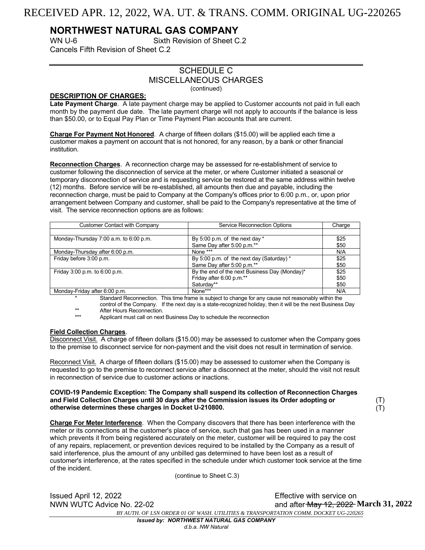## RECEIVED APR. 12, 2022, WA. UT. & TRANS. COMM. ORIGINAL UG-220265

## **NORTHWEST NATURAL GAS COMPANY**

WN U-6 Sixth Revision of Sheet C.2 Cancels Fifth Revision of Sheet C.2

### SCHEDULE C MISCELLANEOUS CHARGES (continued)

#### **DESCRIPTION OF CHARGES:**

**Late Payment Charge**. A late payment charge may be applied to Customer accounts not paid in full each month by the payment due date. The late payment charge will not apply to accounts if the balance is less than \$50.00, or to Equal Pay Plan or Time Payment Plan accounts that are current.

**Charge For Payment Not Honored**. A charge of fifteen dollars (\$15.00) will be applied each time a customer makes a payment on account that is not honored, for any reason, by a bank or other financial institution.

**Reconnection Charges**. A reconnection charge may be assessed for re-establishment of service to customer following the disconnection of service at the meter, or where Customer initiated a seasonal or temporary disconnection of service and is requesting service be restored at the same address within twelve (12) months. Before service will be re-established, all amounts then due and payable, including the reconnection charge, must be paid to Company at the Company's offices prior to 6:00 p.m., or, upon prior arrangement between Company and customer, shall be paid to the Company's representative at the time of visit. The service reconnection options are as follows:

| <b>Customer Contact with Company</b>   | Service Reconnection Options                  | Charge |
|----------------------------------------|-----------------------------------------------|--------|
|                                        |                                               |        |
| Monday-Thursday 7:00 a.m. to 6:00 p.m. | By 5:00 p.m. of the next day $*$              | \$25   |
|                                        | Same Day after 5:00 p.m.**                    | \$50   |
| Monday-Thursday after 6:00 p.m.        | None ***                                      | N/A    |
| Friday before 3:00 p.m.                | By 5:00 p.m. of the next day (Saturday) *     | \$25   |
|                                        | Same Day after 5:00 p.m.**                    | \$50   |
| Friday 3:00 p.m. to 6:00 p.m.          | By the end of the next Business Day (Monday)* | \$25   |
|                                        | Friday after 6:00 p.m.**                      | \$50   |
|                                        | Saturdav**                                    | \$50   |
| Monday-Friday after 6:00 p.m.          | None***                                       | N/A    |

\* Standard Reconnection. This time frame is subject to change for any cause not reasonably within the control of the Company. If the next day is a state-recognized holiday, then it will be the next Business Day

\*\* After Hours Reconnection.

Applicant must call on next Business Day to schedule the reconnection

#### **Field Collection Charges**.

Disconnect Visit. A charge of fifteen dollars (\$15.00) may be assessed to customer when the Company goes to the premise to disconnect service for non-payment and the visit does not result in termination of service.

Reconnect Visit. A charge of fifteen dollars (\$15.00) may be assessed to customer when the Company is requested to go to the premise to reconnect service after a disconnect at the meter, should the visit not result in reconnection of service due to customer actions or inactions.

#### **COVID-19 Pandemic Exception: The Company shall suspend its collection of Reconnection Charges and Field Collection Charges until 30 days after the Commission issues its Order adopting or otherwise determines these charges in Docket U-210800.**

(T)  $(T)$ 

**Charge For Meter Interference**. When the Company discovers that there has been interference with the meter or its connections at the customer's place of service, such that gas has been used in a manner which prevents it from being registered accurately on the meter, customer will be required to pay the cost of any repairs, replacement, or prevention devices required to be installed by the Company as a result of said interference, plus the amount of any unbilled gas determined to have been lost as a result of customer's interference, at the rates specified in the schedule under which customer took service at the time of the incident.

(continue to Sheet C.3)

NWN WUTC Advice No. 22-02

Issued April 12, 2022 Effective with service on *BY AUTH. OF LSN ORDER 01 OF WASH. UTILITIES & TRANSPORTATION COMM. DOCKET UG-220265* and after May 12, 2022 March 31, 2022

*Issued by: NORTHWEST NATURAL GAS COMPANY*

*d.b.a. NW Natural*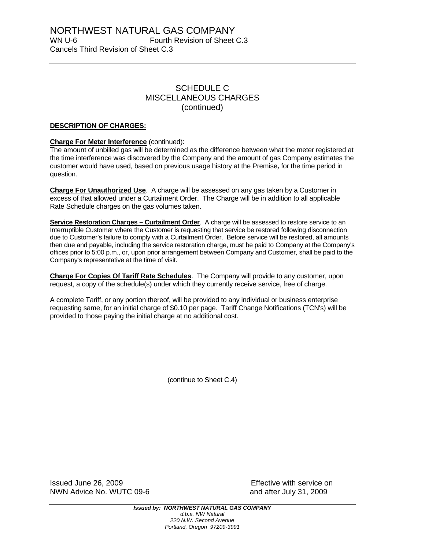### SCHEDULE C MISCELLANEOUS CHARGES (continued)

#### **DESCRIPTION OF CHARGES:**

#### **Charge For Meter Interference** (continued):

The amount of unbilled gas will be determined as the difference between what the meter registered at the time interference was discovered by the Company and the amount of gas Company estimates the customer would have used, based on previous usage history at the Premise*,* for the time period in question.

**Charge For Unauthorized Use**. A charge will be assessed on any gas taken by a Customer in excess of that allowed under a Curtailment Order. The Charge will be in addition to all applicable Rate Schedule charges on the gas volumes taken.

**Service Restoration Charges – Curtailment Order**. A charge will be assessed to restore service to an Interruptible Customer where the Customer is requesting that service be restored following disconnection due to Customer's failure to comply with a Curtailment Order. Before service will be restored, all amounts then due and payable, including the service restoration charge, must be paid to Company at the Company's offices prior to 5:00 p.m., or, upon prior arrangement between Company and Customer, shall be paid to the Company's representative at the time of visit.

**Charge For Copies Of Tariff Rate Schedules**. The Company will provide to any customer, upon request, a copy of the schedule(s) under which they currently receive service, free of charge.

A complete Tariff, or any portion thereof, will be provided to any individual or business enterprise requesting same, for an initial charge of \$0.10 per page. Tariff Change Notifications (TCN's) will be provided to those paying the initial charge at no additional cost.

(continue to Sheet C.4)

Issued June 26, 2009 Effective with service on NWN Advice No. WUTC 09-6 and after July 31, 2009